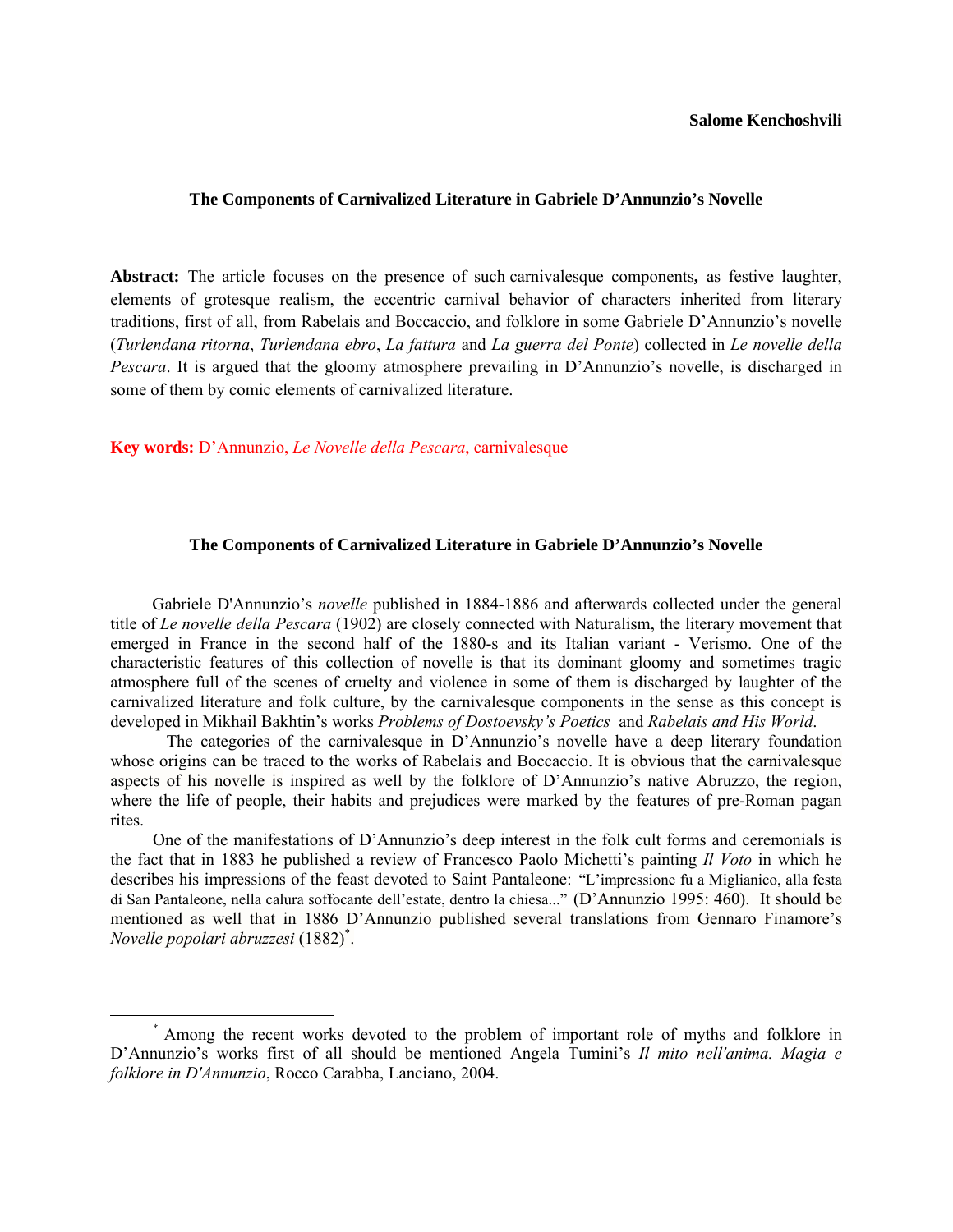## **Salome Kenchoshvili**

#### **The Components of Carnivalized Literature in Gabriele D'Annunzio's Novelle**

**Abstract:** The article focuses on the presence of such carnivalesque components**,** as festive laughter, elements of grotesque realism, the eccentric carnival behavior of characters inherited from literary traditions, first of all, from Rabelais and Boccaccio, and folklore in some Gabriele D'Annunzio's novelle (*Turlendana ritorna*, *Turlendana ebro*, *La fattura* and *La guerra del Ponte*) collected in *Le novelle della Pescara*. It is argued that the gloomy atmosphere prevailing in D'Annunzio's novelle, is discharged in some of them by comic elements of carnivalized literature.

### **Key words:** D'Annunzio, *Le Novelle della Pescara*, carnivalesque

#### **The Components of Carnivalized Literature in Gabriele D'Annunzio's Novelle**

Gabriele D'Annunzio's *novelle* published in 1884-1886 and afterwards collected under the general title of *Le novelle della Pescara* (1902) are closely connected with Naturalism, the literary movement that emerged in France in the second half of the 1880-s and its Italian variant - Verismo. One of the characteristic features of this collection of novelle is that its dominant gloomy and sometimes tragic atmosphere full of the scenes of cruelty and violence in some of them is discharged by laughter of the carnivalized literature and folk culture, by the carnivalesque components in the sense as this concept is developed in Mikhail Bakhtin's works *Problems of Dostoevsky's Poetics* and *Rabelais and His World*.

The categories of the carnivalesque in D'Annunzio's novelle have a deep literary foundation whose origins can be traced to the works of Rabelais and Boccaccio. It is obvious that the carnivalesque aspects of his novelle is inspired as well by the folklore of D'Annunzio's native Abruzzo, the region, where the life of people, their habits and prejudices were marked by the features of pre-Roman pagan rites.

One of the manifestations of D'Annunzio's deep interest in the folk cult forms and ceremonials is the fact that in 1883 he published a review of Francesco Paolo Michetti's painting *Il Voto* in which he describes his impressions of the feast devoted to Saint Pantaleone: "L'impressione fu a Miglianico, alla festa di San Pantaleone, nella calura soffocante dell'estate, dentro la chiesa..." (D'Annunzio 1995: 460). It should be mentioned as well that in 1886 D'Annunzio published several translations from Gennaro Finamore's *Novelle popolari abruzzesi* (1882)\* .

<sup>\*</sup> Among the recent works devoted to the problem of important role of myths and folklore in D'Annunzio's works first of all should be mentioned Angela Tumini's *Il mito nell'anima. Magia e folklore in D'Annunzio*, Rocco Carabba, Lanciano, 2004.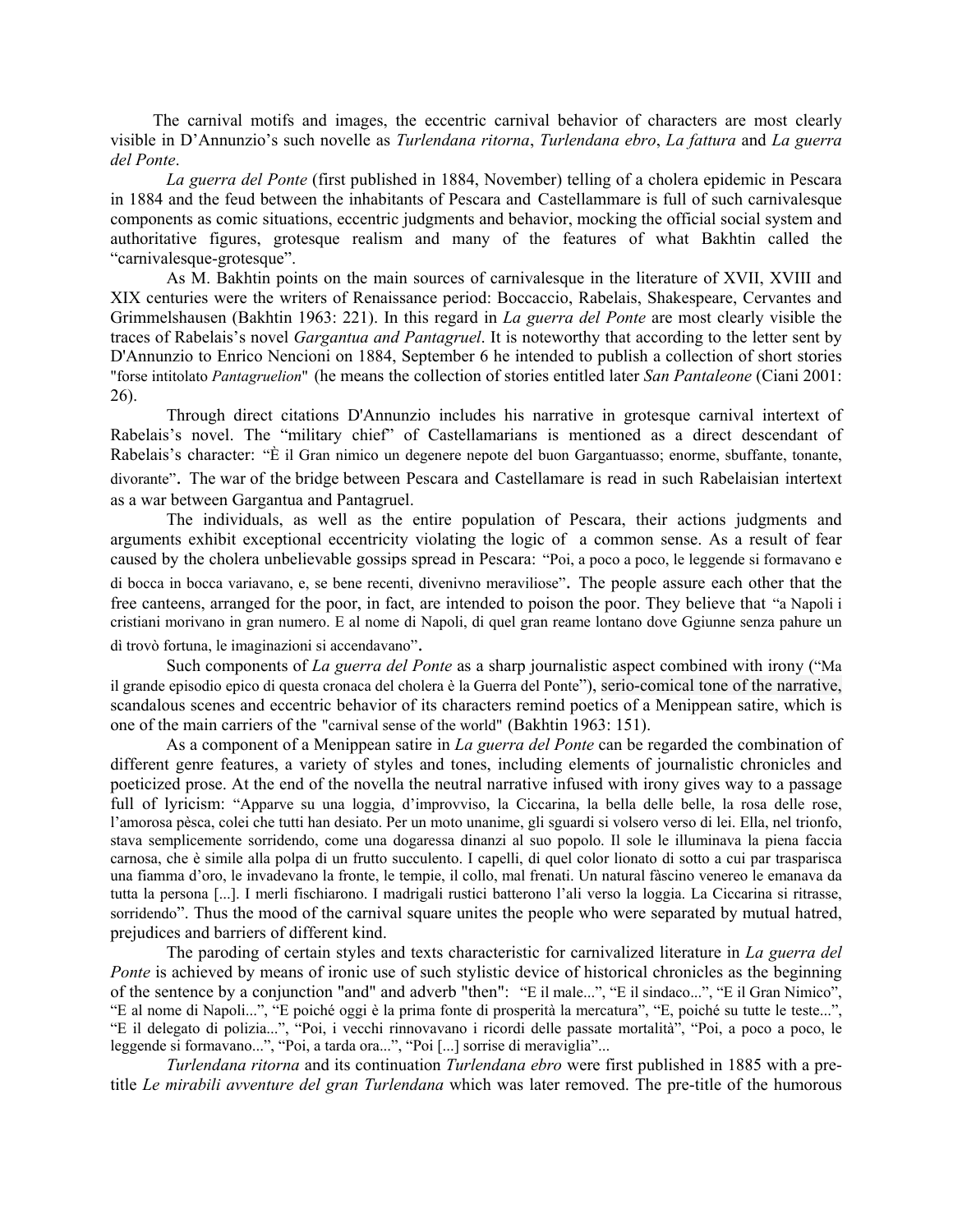The carnival motifs and images, the eccentric carnival behavior of characters are most clearly visible in D'Annunzio's such novelle as *Turlendana ritorna*, *Turlendana ebro*, *La fattura* and *La guerra del Ponte*.

*La guerra del Ponte* (first published in 1884, November) telling of a cholera epidemic in Pescara in 1884 and the feud between the inhabitants of Pescara and Castellammare is full of such carnivalesque components as comic situations, eccentric judgments and behavior, mocking the official social system and authoritative figures, grotesque realism and many of the features of what Bakhtin called the "carnivalesque-grotesque".

As M. Bakhtin points on the main sources of carnivalesque in the literature of XVII, XVIII and XIX centuries were the writers of Renaissance period: Boccaccio, Rabelais, Shakespeare, Cervantes and Grimmelshausen (Bakhtin 1963: 221). In this regard in *La guerra del Ponte* are most clearly visible the traces of Rabelais's novel *Gargantua and Pantagruel*. It is noteworthy that according to the letter sent by D'Annunzio to Enrico Nencioni on 1884, September 6 he intended to publish a collection of short stories "forse intitolato *Pantagruelion*" (he means the collection of stories entitled later *San Pantaleone* (Ciani 2001: 26).

Through direct citations D'Annunzio includes his narrative in grotesque carnival intertext of Rabelais's novel. The "military chief" of Castellamarians is mentioned as a direct descendant of Rabelais's character: "È il Gran nimico un degenere nepote del buon Gargantuasso; enorme, sbuffante, tonante, divorante". The war of the bridge between Pescara and Castellamare is read in such Rabelaisian intertext as a war between Gargantua and Pantagruel. The individuals, as well as the entire population of Pescara, their actions judgments and

arguments exhibit exceptional eccentricity violating the logic of a common sense. As a result of fear caused by the cholera unbelievable gossips spread in Pescara: "Poi, a poco a poco, le leggende si formavano e di bocca in bocca variavano, e, se bene recenti, divenivno meraviliose". The people assure each other that the free canteens, arranged for the poor, in fact, are intended to poison the poor. They believe that "a Napoli i cristiani morivano in gran numero. E al nome di Napoli, di quel gran reame lontano dove Ggiunne senza pahure un

dì trovò fortuna, le imaginazioni si accendavano". Such components of *La guerra del Ponte* as a sharp journalistic aspect combined with irony ("Ma il grande episodio epico di questa cronaca del cholera è la Guerra del Ponte"), serio-comical tone of the narrative, scandalous scenes and eccentric behavior of its characters remind poetics of a Menippean satire, which is one of the main carriers of the "carnival sense of the world" (Bakhtin 1963: 151).

As a component of a Menippean satire in *La guerra del Ponte* can be regarded the combination of different genre features, a variety of styles and tones, including elements of journalistic chronicles and poeticized prose. At the end of the novella the neutral narrative infused with irony gives way to a passage full of lyricism: "Apparve su una loggia, d'improvviso, la Ciccarina, la bella delle belle, la rosa delle rose, l'amorosa pèsca, colei che tutti han desiato. Per un moto unanime, gli sguardi si volsero verso di lei. Ella, nel trionfo, stava semplicemente sorridendo, come una dogaressa dinanzi al suo popolo. Il sole le illuminava la piena faccia carnosa, che è simile alla polpa di un frutto succulento. I capelli, di quel color lionato di sotto a cui par trasparisca una fiamma d'oro, le invadevano la fronte, le tempie, il collo, mal frenati. Un natural fàscino venereo le emanava da tutta la persona [...]. I merli fischiarono. I madrigali rustici batterono l'ali verso la loggia. La Ciccarina si ritrasse, sorridendo". Thus the mood of the carnival square unites the people who were separated by mutual hatred, prejudices and barriers of different kind.

The paroding of certain styles and texts characteristic for carnivalized literature in *La guerra del Ponte* is achieved by means of ironic use of such stylistic device of historical chronicles as the beginning of the sentence by a conjunction "and" and adverb "then": "E il male...", "E il sindaco...", "E il Gran Nimico", "E al nome di Napoli...", "E poiché oggi è la prima fonte di prosperità la mercatura", "E, poiché su tutte le teste...", "E il delegato di polizia...", "Poi, i vecchi rinnovavano i ricordi delle passate mortalità", "Poi, a poco a poco, le leggende si formavano...", "Poi, a tarda ora...", "Poi [...] sorrise di meraviglia"...

*Turlendana ritorna* and its continuation *Turlendana ebro* were first published in 1885 with a pretitle *Le mirabili avventure del gran Turlendana* which was later removed. The pre-title of the humorous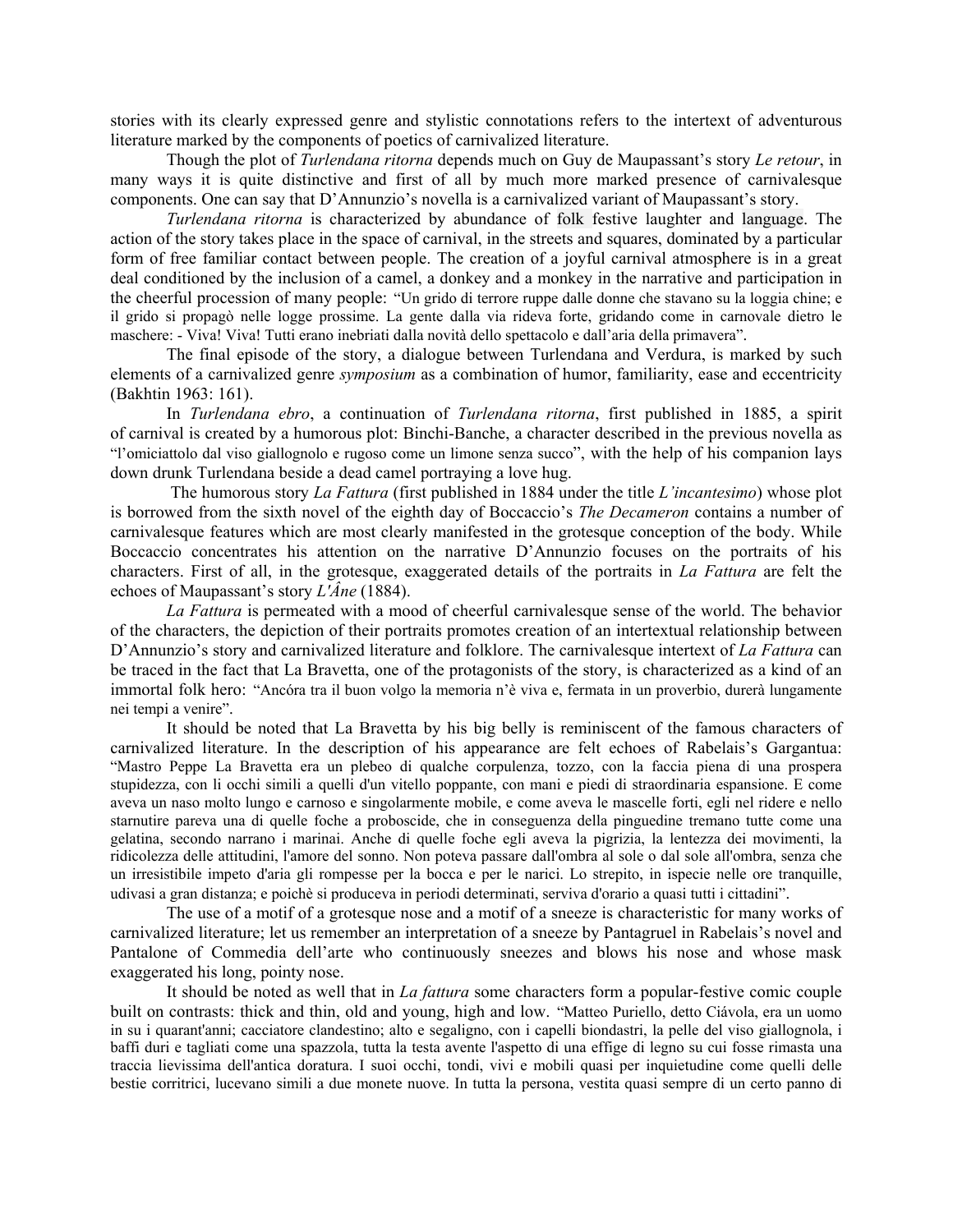stories with its clearly expressed genre and stylistic connotations refers to the intertext of adventurous literature marked by the components of poetics of carnivalized literature.

Though the plot of *Turlendana ritorna* depends much on Guy de Maupassant's story *Le retour*, in many ways it is quite distinctive and first of all by much more marked presence of carnivalesque components. One can say that D'Annunzio's novella is a carnivalized variant of Maupassant's story.

*Turlendana ritorna* is characterized by abundance of folk festive laughter and language. The action of the story takes place in the space of carnival, in the streets and squares, dominated by a particular form of free familiar contact between people. The creation of a joyful carnival atmosphere is in a great deal conditioned by the inclusion of a camel, a donkey and a monkey in the narrative and participation in the cheerful procession of many people: "Un grido di terrore ruppe dalle donne che stavano su la loggia chine; e il grido si propagò nelle logge prossime. La gente dalla via rideva forte, gridando come in carnovale dietro le maschere: - Viva! Viva! Tutti erano inebriati dalla novità dello spettacolo e dall'aria della primavera". The final episode of the story, a dialogue between Turlendana and Verdura, is marked by such

elements of a carnivalized genre *symposium* as a combination of humor, familiarity, ease and eccentricity (Bakhtin 1963: 161).

In *Turlendana ebro*, a continuation of *Turlendana ritorna*, first published in 1885, a spirit of carnival is created by a humorous plot: Binchi-Banche, a character described in the previous novella as "l'omiciattolo dal viso giallognolo e rugoso come un limone senza succo", with the help of his companion lays down drunk Turlendana beside a dead camel portraying a love hug. The humorous story *La Fattura* (first published in 1884 under the title *L'incantesimo*) whose plot

is borrowed from the sixth novel of the eighth day of Boccaccio's *The Decameron* contains a number of carnivalesque features which are most clearly manifested in the grotesque conception of the body. While Boccaccio concentrates his attention on the narrative D'Annunzio focuses on the portraits of his characters. First of all, in the grotesque, exaggerated details of the portraits in *La Fattura* are felt the echoes of Maupassant's story *L'Âne* (1884).

*La Fattura* is permeated with a mood of cheerful carnivalesque sense of the world. The behavior of the characters, the depiction of their portraits promotes creation of an intertextual relationship between D'Annunzio's story and carnivalized literature and folklore. The carnivalesque intertext of *La Fattura* can be traced in the fact that La Bravetta, one of the protagonists of the story, is characterized as a kind of an immortal folk hero: "Ancóra tra il buon volgo la memoria n'è viva e, fermata in un proverbio, durerà lungamente nei tempi a venire".

It should be noted that La Bravetta by his big belly is reminiscent of the famous characters of carnivalized literature. In the description of his appearance are felt echoes of Rabelais's Gargantua: "Mastro Peppe La Bravetta era un plebeo di qualche corpulenza, tozzo, con la faccia piena di una prospera stupidezza, con li occhi simili a quelli d'un vitello poppante, con mani e piedi di straordinaria espansione. E come aveva un naso molto lungo e carnoso e singolarmente mobile, e come aveva le mascelle forti, egli nel ridere e nello starnutire pareva una di quelle foche a proboscide, che in conseguenza della pinguedine tremano tutte come una gelatina, secondo narrano i marinai. Anche di quelle foche egli aveva la pigrizia, la lentezza dei movimenti, la ridicolezza delle attitudini, l'amore del sonno. Non poteva passare dall'ombra al sole o dal sole all'ombra, senza che un irresistibile impeto d'aria gli rompesse per la bocca e per le narici. Lo strepito, in ispecie nelle ore tranquille, udivasi a gran distanza; e poichè si produceva in periodi determinati, serviva d'orario a quasi tutti i cittadini".

The use of a motif of a grotesque nose and a motif of a sneeze is characteristic for many works of carnivalized literature; let us remember an interpretation of a sneeze by Pantagruel in Rabelais's novel and Pantalone of Commedia dell'arte who continuously sneezes and blows his nose and whose mask exaggerated his long, pointy nose.

It should be noted as well that in *La fattura* some characters form a popular-festive comic couple built on contrasts: thick and thin, old and young, high and low. "Matteo Puriello, detto Ciávola, era un uomo in su i quarant'anni; cacciatore clandestino; alto e segaligno, con i capelli biondastri, la pelle del viso giallognola, i baffi duri e tagliati come una spazzola, tutta la testa avente l'aspetto di una effige di legno su cui fosse rimasta una traccia lievissima dell'antica doratura. I suoi occhi, tondi, vivi e mobili quasi per inquietudine come quelli delle bestie corritrici, lucevano simili a due monete nuove. In tutta la persona, vestita quasi sempre di un certo panno di